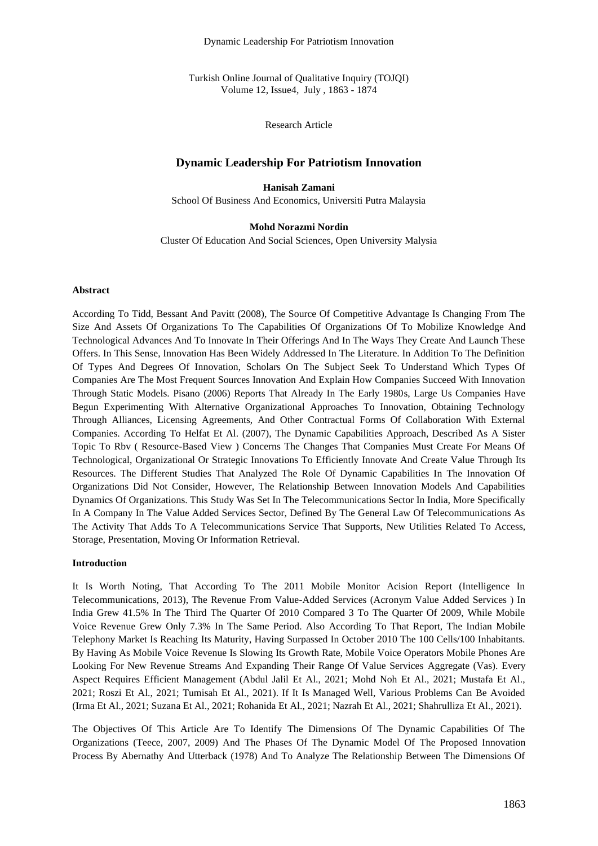Dynamic Leadership For Patriotism Innovation

Turkish Online Journal of Qualitative Inquiry (TOJQI) Volume 12, Issue4, July , 1863 - 1874

Research Article

# **Dynamic Leadership For Patriotism Innovation**

**Hanisah Zamani** School Of Business And Economics, Universiti Putra Malaysia

**Mohd Norazmi Nordin** Cluster Of Education And Social Sciences, Open University Malysia

#### **Abstract**

According To Tidd, Bessant And Pavitt (2008), The Source Of Competitive Advantage Is Changing From The Size And Assets Of Organizations To The Capabilities Of Organizations Of To Mobilize Knowledge And Technological Advances And To Innovate In Their Offerings And In The Ways They Create And Launch These Offers. In This Sense, Innovation Has Been Widely Addressed In The Literature. In Addition To The Definition Of Types And Degrees Of Innovation, Scholars On The Subject Seek To Understand Which Types Of Companies Are The Most Frequent Sources Innovation And Explain How Companies Succeed With Innovation Through Static Models. Pisano (2006) Reports That Already In The Early 1980s, Large Us Companies Have Begun Experimenting With Alternative Organizational Approaches To Innovation, Obtaining Technology Through Alliances, Licensing Agreements, And Other Contractual Forms Of Collaboration With External Companies. According To Helfat Et Al. (2007), The Dynamic Capabilities Approach, Described As A Sister Topic To Rbv ( Resource-Based View ) Concerns The Changes That Companies Must Create For Means Of Technological, Organizational Or Strategic Innovations To Efficiently Innovate And Create Value Through Its Resources. The Different Studies That Analyzed The Role Of Dynamic Capabilities In The Innovation Of Organizations Did Not Consider, However, The Relationship Between Innovation Models And Capabilities Dynamics Of Organizations. This Study Was Set In The Telecommunications Sector In India, More Specifically In A Company In The Value Added Services Sector, Defined By The General Law Of Telecommunications As The Activity That Adds To A Telecommunications Service That Supports, New Utilities Related To Access, Storage, Presentation, Moving Or Information Retrieval.

#### **Introduction**

It Is Worth Noting, That According To The 2011 Mobile Monitor Acision Report (Intelligence In Telecommunications, 2013), The Revenue From Value-Added Services (Acronym Value Added Services ) In India Grew 41.5% In The Third The Quarter Of 2010 Compared 3 To The Quarter Of 2009, While Mobile Voice Revenue Grew Only 7.3% In The Same Period. Also According To That Report, The Indian Mobile Telephony Market Is Reaching Its Maturity, Having Surpassed In October 2010 The 100 Cells/100 Inhabitants. By Having As Mobile Voice Revenue Is Slowing Its Growth Rate, Mobile Voice Operators Mobile Phones Are Looking For New Revenue Streams And Expanding Their Range Of Value Services Aggregate (Vas). Every Aspect Requires Efficient Management (Abdul Jalil Et Al., 2021; Mohd Noh Et Al., 2021; Mustafa Et Al., 2021; Roszi Et Al., 2021; Tumisah Et Al., 2021). If It Is Managed Well, Various Problems Can Be Avoided (Irma Et Al., 2021; Suzana Et Al., 2021; Rohanida Et Al., 2021; Nazrah Et Al., 2021; Shahrulliza Et Al., 2021).

The Objectives Of This Article Are To Identify The Dimensions Of The Dynamic Capabilities Of The Organizations (Teece, 2007, 2009) And The Phases Of The Dynamic Model Of The Proposed Innovation Process By Abernathy And Utterback (1978) And To Analyze The Relationship Between The Dimensions Of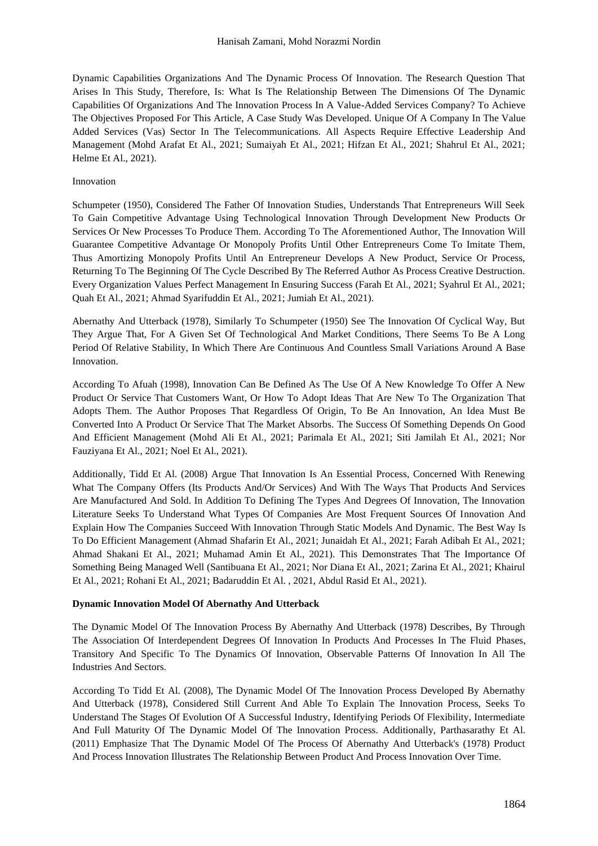Dynamic Capabilities Organizations And The Dynamic Process Of Innovation. The Research Question That Arises In This Study, Therefore, Is: What Is The Relationship Between The Dimensions Of The Dynamic Capabilities Of Organizations And The Innovation Process In A Value-Added Services Company? To Achieve The Objectives Proposed For This Article, A Case Study Was Developed. Unique Of A Company In The Value Added Services (Vas) Sector In The Telecommunications. All Aspects Require Effective Leadership And Management (Mohd Arafat Et Al., 2021; Sumaiyah Et Al., 2021; Hifzan Et Al., 2021; Shahrul Et Al., 2021; Helme Et Al., 2021).

#### Innovation

Schumpeter (1950), Considered The Father Of Innovation Studies, Understands That Entrepreneurs Will Seek To Gain Competitive Advantage Using Technological Innovation Through Development New Products Or Services Or New Processes To Produce Them. According To The Aforementioned Author, The Innovation Will Guarantee Competitive Advantage Or Monopoly Profits Until Other Entrepreneurs Come To Imitate Them, Thus Amortizing Monopoly Profits Until An Entrepreneur Develops A New Product, Service Or Process, Returning To The Beginning Of The Cycle Described By The Referred Author As Process Creative Destruction. Every Organization Values Perfect Management In Ensuring Success (Farah Et Al., 2021; Syahrul Et Al., 2021; Quah Et Al., 2021; Ahmad Syarifuddin Et Al., 2021; Jumiah Et Al., 2021).

Abernathy And Utterback (1978), Similarly To Schumpeter (1950) See The Innovation Of Cyclical Way, But They Argue That, For A Given Set Of Technological And Market Conditions, There Seems To Be A Long Period Of Relative Stability, In Which There Are Continuous And Countless Small Variations Around A Base Innovation.

According To Afuah (1998), Innovation Can Be Defined As The Use Of A New Knowledge To Offer A New Product Or Service That Customers Want, Or How To Adopt Ideas That Are New To The Organization That Adopts Them. The Author Proposes That Regardless Of Origin, To Be An Innovation, An Idea Must Be Converted Into A Product Or Service That The Market Absorbs. The Success Of Something Depends On Good And Efficient Management (Mohd Ali Et Al., 2021; Parimala Et Al., 2021; Siti Jamilah Et Al., 2021; Nor Fauziyana Et Al., 2021; Noel Et Al., 2021).

Additionally, Tidd Et Al. (2008) Argue That Innovation Is An Essential Process, Concerned With Renewing What The Company Offers (Its Products And/Or Services) And With The Ways That Products And Services Are Manufactured And Sold. In Addition To Defining The Types And Degrees Of Innovation, The Innovation Literature Seeks To Understand What Types Of Companies Are Most Frequent Sources Of Innovation And Explain How The Companies Succeed With Innovation Through Static Models And Dynamic. The Best Way Is To Do Efficient Management (Ahmad Shafarin Et Al., 2021; Junaidah Et Al., 2021; Farah Adibah Et Al., 2021; Ahmad Shakani Et Al., 2021; Muhamad Amin Et Al., 2021). This Demonstrates That The Importance Of Something Being Managed Well (Santibuana Et Al., 2021; Nor Diana Et Al., 2021; Zarina Et Al., 2021; Khairul Et Al., 2021; Rohani Et Al., 2021; Badaruddin Et Al. , 2021, Abdul Rasid Et Al., 2021).

#### **Dynamic Innovation Model Of Abernathy And Utterback**

The Dynamic Model Of The Innovation Process By Abernathy And Utterback (1978) Describes, By Through The Association Of Interdependent Degrees Of Innovation In Products And Processes In The Fluid Phases, Transitory And Specific To The Dynamics Of Innovation, Observable Patterns Of Innovation In All The Industries And Sectors.

According To Tidd Et Al. (2008), The Dynamic Model Of The Innovation Process Developed By Abernathy And Utterback (1978), Considered Still Current And Able To Explain The Innovation Process, Seeks To Understand The Stages Of Evolution Of A Successful Industry, Identifying Periods Of Flexibility, Intermediate And Full Maturity Of The Dynamic Model Of The Innovation Process. Additionally, Parthasarathy Et Al. (2011) Emphasize That The Dynamic Model Of The Process Of Abernathy And Utterback's (1978) Product And Process Innovation Illustrates The Relationship Between Product And Process Innovation Over Time.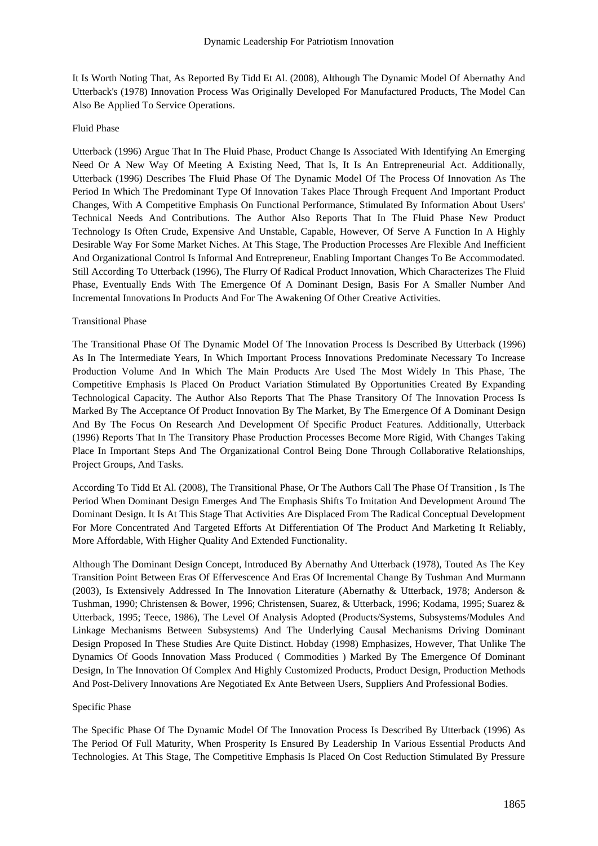It Is Worth Noting That, As Reported By Tidd Et Al. (2008), Although The Dynamic Model Of Abernathy And Utterback's (1978) Innovation Process Was Originally Developed For Manufactured Products, The Model Can Also Be Applied To Service Operations.

#### Fluid Phase

Utterback (1996) Argue That In The Fluid Phase, Product Change Is Associated With Identifying An Emerging Need Or A New Way Of Meeting A Existing Need, That Is, It Is An Entrepreneurial Act. Additionally, Utterback (1996) Describes The Fluid Phase Of The Dynamic Model Of The Process Of Innovation As The Period In Which The Predominant Type Of Innovation Takes Place Through Frequent And Important Product Changes, With A Competitive Emphasis On Functional Performance, Stimulated By Information About Users' Technical Needs And Contributions. The Author Also Reports That In The Fluid Phase New Product Technology Is Often Crude, Expensive And Unstable, Capable, However, Of Serve A Function In A Highly Desirable Way For Some Market Niches. At This Stage, The Production Processes Are Flexible And Inefficient And Organizational Control Is Informal And Entrepreneur, Enabling Important Changes To Be Accommodated. Still According To Utterback (1996), The Flurry Of Radical Product Innovation, Which Characterizes The Fluid Phase, Eventually Ends With The Emergence Of A Dominant Design, Basis For A Smaller Number And Incremental Innovations In Products And For The Awakening Of Other Creative Activities.

#### Transitional Phase

The Transitional Phase Of The Dynamic Model Of The Innovation Process Is Described By Utterback (1996) As In The Intermediate Years, In Which Important Process Innovations Predominate Necessary To Increase Production Volume And In Which The Main Products Are Used The Most Widely In This Phase, The Competitive Emphasis Is Placed On Product Variation Stimulated By Opportunities Created By Expanding Technological Capacity. The Author Also Reports That The Phase Transitory Of The Innovation Process Is Marked By The Acceptance Of Product Innovation By The Market, By The Emergence Of A Dominant Design And By The Focus On Research And Development Of Specific Product Features. Additionally, Utterback (1996) Reports That In The Transitory Phase Production Processes Become More Rigid, With Changes Taking Place In Important Steps And The Organizational Control Being Done Through Collaborative Relationships, Project Groups, And Tasks.

According To Tidd Et Al. (2008), The Transitional Phase, Or The Authors Call The Phase Of Transition , Is The Period When Dominant Design Emerges And The Emphasis Shifts To Imitation And Development Around The Dominant Design. It Is At This Stage That Activities Are Displaced From The Radical Conceptual Development For More Concentrated And Targeted Efforts At Differentiation Of The Product And Marketing It Reliably, More Affordable, With Higher Quality And Extended Functionality.

Although The Dominant Design Concept, Introduced By Abernathy And Utterback (1978), Touted As The Key Transition Point Between Eras Of Effervescence And Eras Of Incremental Change By Tushman And Murmann (2003), Is Extensively Addressed In The Innovation Literature (Abernathy & Utterback, 1978; Anderson & Tushman, 1990; Christensen & Bower, 1996; Christensen, Suarez, & Utterback, 1996; Kodama, 1995; Suarez & Utterback, 1995; Teece, 1986), The Level Of Analysis Adopted (Products/Systems, Subsystems/Modules And Linkage Mechanisms Between Subsystems) And The Underlying Causal Mechanisms Driving Dominant Design Proposed In These Studies Are Quite Distinct. Hobday (1998) Emphasizes, However, That Unlike The Dynamics Of Goods Innovation Mass Produced ( Commodities ) Marked By The Emergence Of Dominant Design, In The Innovation Of Complex And Highly Customized Products, Product Design, Production Methods And Post-Delivery Innovations Are Negotiated Ex Ante Between Users, Suppliers And Professional Bodies.

#### Specific Phase

The Specific Phase Of The Dynamic Model Of The Innovation Process Is Described By Utterback (1996) As The Period Of Full Maturity, When Prosperity Is Ensured By Leadership In Various Essential Products And Technologies. At This Stage, The Competitive Emphasis Is Placed On Cost Reduction Stimulated By Pressure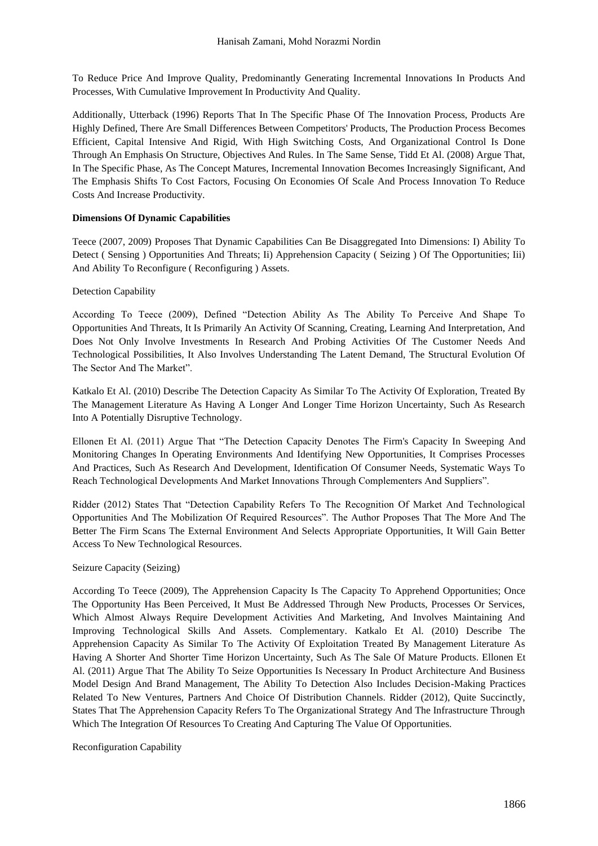To Reduce Price And Improve Quality, Predominantly Generating Incremental Innovations In Products And Processes, With Cumulative Improvement In Productivity And Quality.

Additionally, Utterback (1996) Reports That In The Specific Phase Of The Innovation Process, Products Are Highly Defined, There Are Small Differences Between Competitors' Products, The Production Process Becomes Efficient, Capital Intensive And Rigid, With High Switching Costs, And Organizational Control Is Done Through An Emphasis On Structure, Objectives And Rules. In The Same Sense, Tidd Et Al. (2008) Argue That, In The Specific Phase, As The Concept Matures, Incremental Innovation Becomes Increasingly Significant, And The Emphasis Shifts To Cost Factors, Focusing On Economies Of Scale And Process Innovation To Reduce Costs And Increase Productivity.

## **Dimensions Of Dynamic Capabilities**

Teece (2007, 2009) Proposes That Dynamic Capabilities Can Be Disaggregated Into Dimensions: I) Ability To Detect ( Sensing ) Opportunities And Threats; Ii) Apprehension Capacity ( Seizing ) Of The Opportunities; Iii) And Ability To Reconfigure ( Reconfiguring ) Assets.

# Detection Capability

According To Teece (2009), Defined "Detection Ability As The Ability To Perceive And Shape To Opportunities And Threats, It Is Primarily An Activity Of Scanning, Creating, Learning And Interpretation, And Does Not Only Involve Investments In Research And Probing Activities Of The Customer Needs And Technological Possibilities, It Also Involves Understanding The Latent Demand, The Structural Evolution Of The Sector And The Market".

Katkalo Et Al. (2010) Describe The Detection Capacity As Similar To The Activity Of Exploration, Treated By The Management Literature As Having A Longer And Longer Time Horizon Uncertainty, Such As Research Into A Potentially Disruptive Technology.

Ellonen Et Al. (2011) Argue That "The Detection Capacity Denotes The Firm's Capacity In Sweeping And Monitoring Changes In Operating Environments And Identifying New Opportunities, It Comprises Processes And Practices, Such As Research And Development, Identification Of Consumer Needs, Systematic Ways To Reach Technological Developments And Market Innovations Through Complementers And Suppliers".

Ridder (2012) States That "Detection Capability Refers To The Recognition Of Market And Technological Opportunities And The Mobilization Of Required Resources". The Author Proposes That The More And The Better The Firm Scans The External Environment And Selects Appropriate Opportunities, It Will Gain Better Access To New Technological Resources.

## Seizure Capacity (Seizing)

According To Teece (2009), The Apprehension Capacity Is The Capacity To Apprehend Opportunities; Once The Opportunity Has Been Perceived, It Must Be Addressed Through New Products, Processes Or Services, Which Almost Always Require Development Activities And Marketing, And Involves Maintaining And Improving Technological Skills And Assets. Complementary. Katkalo Et Al. (2010) Describe The Apprehension Capacity As Similar To The Activity Of Exploitation Treated By Management Literature As Having A Shorter And Shorter Time Horizon Uncertainty, Such As The Sale Of Mature Products. Ellonen Et Al. (2011) Argue That The Ability To Seize Opportunities Is Necessary In Product Architecture And Business Model Design And Brand Management, The Ability To Detection Also Includes Decision-Making Practices Related To New Ventures, Partners And Choice Of Distribution Channels. Ridder (2012), Quite Succinctly, States That The Apprehension Capacity Refers To The Organizational Strategy And The Infrastructure Through Which The Integration Of Resources To Creating And Capturing The Value Of Opportunities.

## Reconfiguration Capability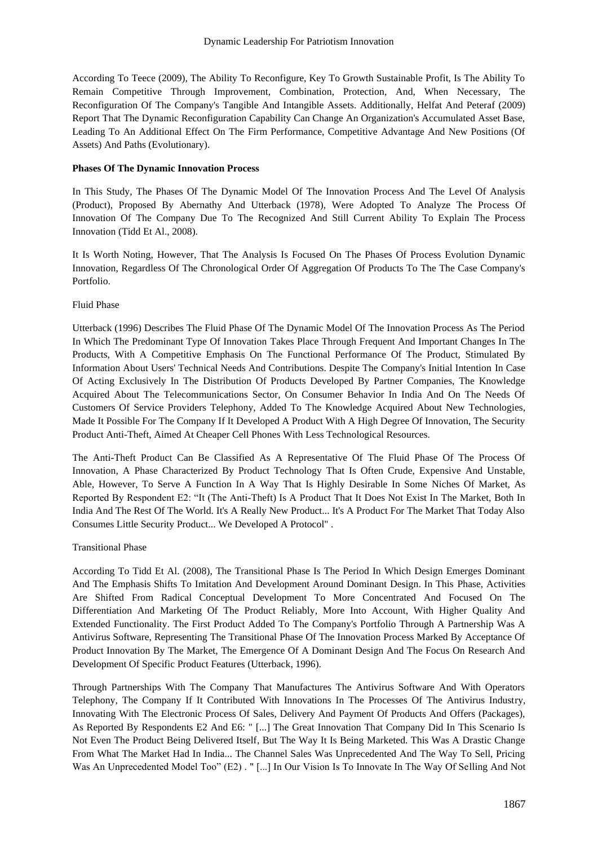According To Teece (2009), The Ability To Reconfigure, Key To Growth Sustainable Profit, Is The Ability To Remain Competitive Through Improvement, Combination, Protection, And, When Necessary, The Reconfiguration Of The Company's Tangible And Intangible Assets. Additionally, Helfat And Peteraf (2009) Report That The Dynamic Reconfiguration Capability Can Change An Organization's Accumulated Asset Base, Leading To An Additional Effect On The Firm Performance, Competitive Advantage And New Positions (Of Assets) And Paths (Evolutionary).

# **Phases Of The Dynamic Innovation Process**

In This Study, The Phases Of The Dynamic Model Of The Innovation Process And The Level Of Analysis (Product), Proposed By Abernathy And Utterback (1978), Were Adopted To Analyze The Process Of Innovation Of The Company Due To The Recognized And Still Current Ability To Explain The Process Innovation (Tidd Et Al., 2008).

It Is Worth Noting, However, That The Analysis Is Focused On The Phases Of Process Evolution Dynamic Innovation, Regardless Of The Chronological Order Of Aggregation Of Products To The The Case Company's Portfolio.

## Fluid Phase

Utterback (1996) Describes The Fluid Phase Of The Dynamic Model Of The Innovation Process As The Period In Which The Predominant Type Of Innovation Takes Place Through Frequent And Important Changes In The Products, With A Competitive Emphasis On The Functional Performance Of The Product, Stimulated By Information About Users' Technical Needs And Contributions. Despite The Company's Initial Intention In Case Of Acting Exclusively In The Distribution Of Products Developed By Partner Companies, The Knowledge Acquired About The Telecommunications Sector, On Consumer Behavior In India And On The Needs Of Customers Of Service Providers Telephony, Added To The Knowledge Acquired About New Technologies, Made It Possible For The Company If It Developed A Product With A High Degree Of Innovation, The Security Product Anti-Theft, Aimed At Cheaper Cell Phones With Less Technological Resources.

The Anti-Theft Product Can Be Classified As A Representative Of The Fluid Phase Of The Process Of Innovation, A Phase Characterized By Product Technology That Is Often Crude, Expensive And Unstable, Able, However, To Serve A Function In A Way That Is Highly Desirable In Some Niches Of Market, As Reported By Respondent E2: "It (The Anti-Theft) Is A Product That It Does Not Exist In The Market, Both In India And The Rest Of The World. It's A Really New Product... It's A Product For The Market That Today Also Consumes Little Security Product... We Developed A Protocol" .

## Transitional Phase

According To Tidd Et Al. (2008), The Transitional Phase Is The Period In Which Design Emerges Dominant And The Emphasis Shifts To Imitation And Development Around Dominant Design. In This Phase, Activities Are Shifted From Radical Conceptual Development To More Concentrated And Focused On The Differentiation And Marketing Of The Product Reliably, More Into Account, With Higher Quality And Extended Functionality. The First Product Added To The Company's Portfolio Through A Partnership Was A Antivirus Software, Representing The Transitional Phase Of The Innovation Process Marked By Acceptance Of Product Innovation By The Market, The Emergence Of A Dominant Design And The Focus On Research And Development Of Specific Product Features (Utterback, 1996).

Through Partnerships With The Company That Manufactures The Antivirus Software And With Operators Telephony, The Company If It Contributed With Innovations In The Processes Of The Antivirus Industry, Innovating With The Electronic Process Of Sales, Delivery And Payment Of Products And Offers (Packages), As Reported By Respondents E2 And E6: " [...] The Great Innovation That Company Did In This Scenario Is Not Even The Product Being Delivered Itself, But The Way It Is Being Marketed. This Was A Drastic Change From What The Market Had In India... The Channel Sales Was Unprecedented And The Way To Sell, Pricing Was An Unprecedented Model Too" (E2) . " [...] In Our Vision Is To Innovate In The Way Of Selling And Not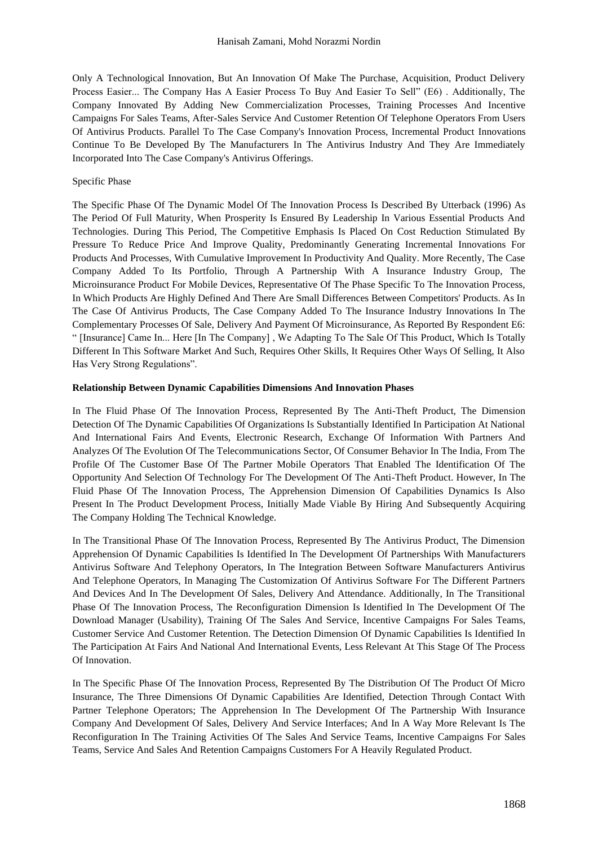Only A Technological Innovation, But An Innovation Of Make The Purchase, Acquisition, Product Delivery Process Easier... The Company Has A Easier Process To Buy And Easier To Sell" (E6) . Additionally, The Company Innovated By Adding New Commercialization Processes, Training Processes And Incentive Campaigns For Sales Teams, After-Sales Service And Customer Retention Of Telephone Operators From Users Of Antivirus Products. Parallel To The Case Company's Innovation Process, Incremental Product Innovations Continue To Be Developed By The Manufacturers In The Antivirus Industry And They Are Immediately Incorporated Into The Case Company's Antivirus Offerings.

#### Specific Phase

The Specific Phase Of The Dynamic Model Of The Innovation Process Is Described By Utterback (1996) As The Period Of Full Maturity, When Prosperity Is Ensured By Leadership In Various Essential Products And Technologies. During This Period, The Competitive Emphasis Is Placed On Cost Reduction Stimulated By Pressure To Reduce Price And Improve Quality, Predominantly Generating Incremental Innovations For Products And Processes, With Cumulative Improvement In Productivity And Quality. More Recently, The Case Company Added To Its Portfolio, Through A Partnership With A Insurance Industry Group, The Microinsurance Product For Mobile Devices, Representative Of The Phase Specific To The Innovation Process, In Which Products Are Highly Defined And There Are Small Differences Between Competitors' Products. As In The Case Of Antivirus Products, The Case Company Added To The Insurance Industry Innovations In The Complementary Processes Of Sale, Delivery And Payment Of Microinsurance, As Reported By Respondent E6: " [Insurance] Came In... Here [In The Company] , We Adapting To The Sale Of This Product, Which Is Totally Different In This Software Market And Such, Requires Other Skills, It Requires Other Ways Of Selling, It Also Has Very Strong Regulations".

#### **Relationship Between Dynamic Capabilities Dimensions And Innovation Phases**

In The Fluid Phase Of The Innovation Process, Represented By The Anti-Theft Product, The Dimension Detection Of The Dynamic Capabilities Of Organizations Is Substantially Identified In Participation At National And International Fairs And Events, Electronic Research, Exchange Of Information With Partners And Analyzes Of The Evolution Of The Telecommunications Sector, Of Consumer Behavior In The India, From The Profile Of The Customer Base Of The Partner Mobile Operators That Enabled The Identification Of The Opportunity And Selection Of Technology For The Development Of The Anti-Theft Product. However, In The Fluid Phase Of The Innovation Process, The Apprehension Dimension Of Capabilities Dynamics Is Also Present In The Product Development Process, Initially Made Viable By Hiring And Subsequently Acquiring The Company Holding The Technical Knowledge.

In The Transitional Phase Of The Innovation Process, Represented By The Antivirus Product, The Dimension Apprehension Of Dynamic Capabilities Is Identified In The Development Of Partnerships With Manufacturers Antivirus Software And Telephony Operators, In The Integration Between Software Manufacturers Antivirus And Telephone Operators, In Managing The Customization Of Antivirus Software For The Different Partners And Devices And In The Development Of Sales, Delivery And Attendance. Additionally, In The Transitional Phase Of The Innovation Process, The Reconfiguration Dimension Is Identified In The Development Of The Download Manager (Usability), Training Of The Sales And Service, Incentive Campaigns For Sales Teams, Customer Service And Customer Retention. The Detection Dimension Of Dynamic Capabilities Is Identified In The Participation At Fairs And National And International Events, Less Relevant At This Stage Of The Process Of Innovation.

In The Specific Phase Of The Innovation Process, Represented By The Distribution Of The Product Of Micro Insurance, The Three Dimensions Of Dynamic Capabilities Are Identified, Detection Through Contact With Partner Telephone Operators; The Apprehension In The Development Of The Partnership With Insurance Company And Development Of Sales, Delivery And Service Interfaces; And In A Way More Relevant Is The Reconfiguration In The Training Activities Of The Sales And Service Teams, Incentive Campaigns For Sales Teams, Service And Sales And Retention Campaigns Customers For A Heavily Regulated Product.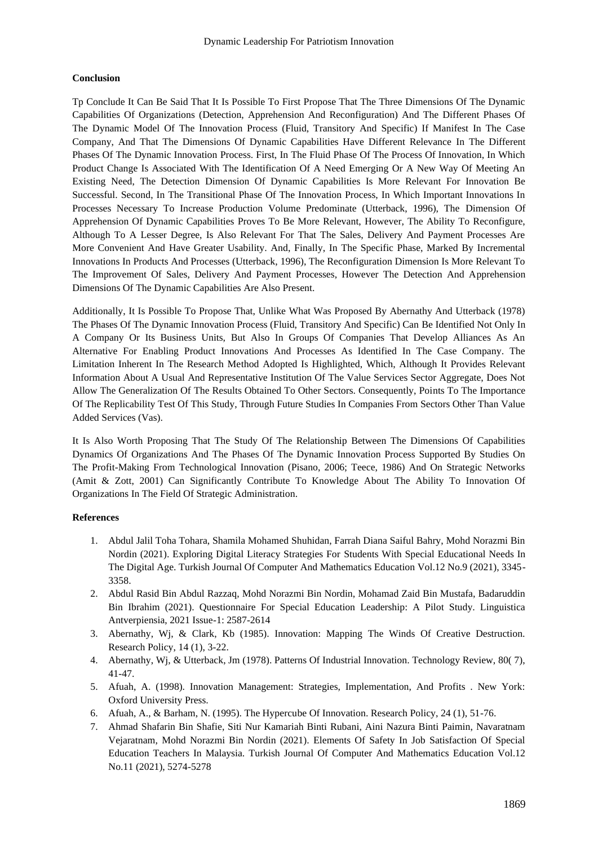# **Conclusion**

Tp Conclude It Can Be Said That It Is Possible To First Propose That The Three Dimensions Of The Dynamic Capabilities Of Organizations (Detection, Apprehension And Reconfiguration) And The Different Phases Of The Dynamic Model Of The Innovation Process (Fluid, Transitory And Specific) If Manifest In The Case Company, And That The Dimensions Of Dynamic Capabilities Have Different Relevance In The Different Phases Of The Dynamic Innovation Process. First, In The Fluid Phase Of The Process Of Innovation, In Which Product Change Is Associated With The Identification Of A Need Emerging Or A New Way Of Meeting An Existing Need, The Detection Dimension Of Dynamic Capabilities Is More Relevant For Innovation Be Successful. Second, In The Transitional Phase Of The Innovation Process, In Which Important Innovations In Processes Necessary To Increase Production Volume Predominate (Utterback, 1996), The Dimension Of Apprehension Of Dynamic Capabilities Proves To Be More Relevant, However, The Ability To Reconfigure, Although To A Lesser Degree, Is Also Relevant For That The Sales, Delivery And Payment Processes Are More Convenient And Have Greater Usability. And, Finally, In The Specific Phase, Marked By Incremental Innovations In Products And Processes (Utterback, 1996), The Reconfiguration Dimension Is More Relevant To The Improvement Of Sales, Delivery And Payment Processes, However The Detection And Apprehension Dimensions Of The Dynamic Capabilities Are Also Present.

Additionally, It Is Possible To Propose That, Unlike What Was Proposed By Abernathy And Utterback (1978) The Phases Of The Dynamic Innovation Process (Fluid, Transitory And Specific) Can Be Identified Not Only In A Company Or Its Business Units, But Also In Groups Of Companies That Develop Alliances As An Alternative For Enabling Product Innovations And Processes As Identified In The Case Company. The Limitation Inherent In The Research Method Adopted Is Highlighted, Which, Although It Provides Relevant Information About A Usual And Representative Institution Of The Value Services Sector Aggregate, Does Not Allow The Generalization Of The Results Obtained To Other Sectors. Consequently, Points To The Importance Of The Replicability Test Of This Study, Through Future Studies In Companies From Sectors Other Than Value Added Services (Vas).

It Is Also Worth Proposing That The Study Of The Relationship Between The Dimensions Of Capabilities Dynamics Of Organizations And The Phases Of The Dynamic Innovation Process Supported By Studies On The Profit-Making From Technological Innovation (Pisano, 2006; Teece, 1986) And On Strategic Networks (Amit & Zott, 2001) Can Significantly Contribute To Knowledge About The Ability To Innovation Of Organizations In The Field Of Strategic Administration.

## **References**

- 1. Abdul Jalil Toha Tohara, Shamila Mohamed Shuhidan, Farrah Diana Saiful Bahry, Mohd Norazmi Bin Nordin (2021). Exploring Digital Literacy Strategies For Students With Special Educational Needs In The Digital Age. Turkish Journal Of Computer And Mathematics Education Vol.12 No.9 (2021), 3345- 3358.
- 2. Abdul Rasid Bin Abdul Razzaq, Mohd Norazmi Bin Nordin, Mohamad Zaid Bin Mustafa, Badaruddin Bin Ibrahim (2021). Questionnaire For Special Education Leadership: A Pilot Study. Linguistica Antverpiensia, 2021 Issue-1: 2587-2614
- 3. Abernathy, Wj, & Clark, Kb (1985). Innovation: Mapping The Winds Of Creative Destruction. Research Policy, 14 (1), 3-22.
- 4. Abernathy, Wj, & Utterback, Jm (1978). Patterns Of Industrial Innovation. Technology Review, 80( 7), 41-47.
- 5. Afuah, A. (1998). Innovation Management: Strategies, Implementation, And Profits . New York: Oxford University Press.
- 6. Afuah, A., & Barham, N. (1995). The Hypercube Of Innovation. Research Policy, 24 (1), 51-76.
- 7. Ahmad Shafarin Bin Shafie, Siti Nur Kamariah Binti Rubani, Aini Nazura Binti Paimin, Navaratnam Vejaratnam, Mohd Norazmi Bin Nordin (2021). Elements Of Safety In Job Satisfaction Of Special Education Teachers In Malaysia. Turkish Journal Of Computer And Mathematics Education Vol.12 No.11 (2021), 5274-5278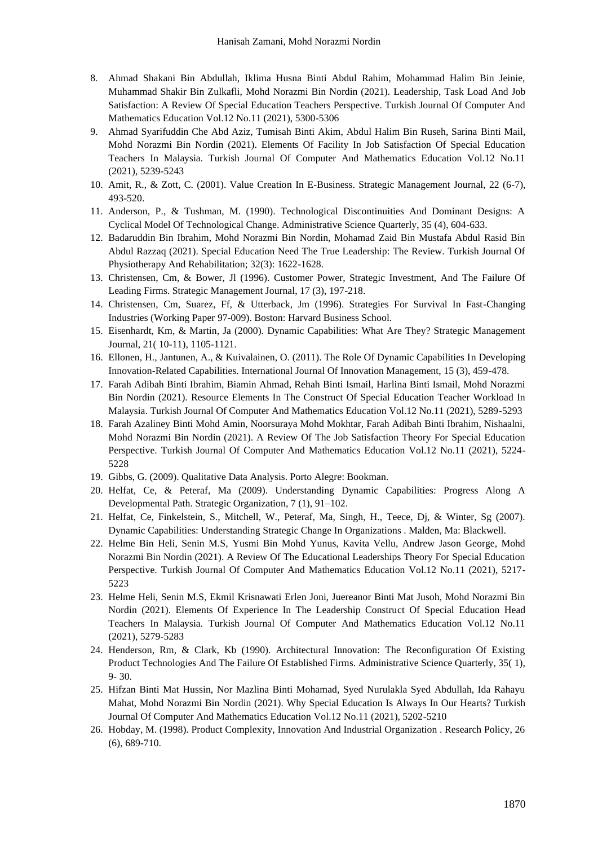- 8. Ahmad Shakani Bin Abdullah, Iklima Husna Binti Abdul Rahim, Mohammad Halim Bin Jeinie, Muhammad Shakir Bin Zulkafli, Mohd Norazmi Bin Nordin (2021). Leadership, Task Load And Job Satisfaction: A Review Of Special Education Teachers Perspective. Turkish Journal Of Computer And Mathematics Education Vol.12 No.11 (2021), 5300-5306
- 9. Ahmad Syarifuddin Che Abd Aziz, Tumisah Binti Akim, Abdul Halim Bin Ruseh, Sarina Binti Mail, Mohd Norazmi Bin Nordin (2021). Elements Of Facility In Job Satisfaction Of Special Education Teachers In Malaysia. Turkish Journal Of Computer And Mathematics Education Vol.12 No.11 (2021), 5239-5243
- 10. Amit, R., & Zott, C. (2001). Value Creation In E-Business. Strategic Management Journal, 22 (6-7), 493-520.
- 11. Anderson, P., & Tushman, M. (1990). Technological Discontinuities And Dominant Designs: A Cyclical Model Of Technological Change. Administrative Science Quarterly, 35 (4), 604-633.
- 12. Badaruddin Bin Ibrahim, Mohd Norazmi Bin Nordin, Mohamad Zaid Bin Mustafa Abdul Rasid Bin Abdul Razzaq (2021). Special Education Need The True Leadership: The Review. Turkish Journal Of Physiotherapy And Rehabilitation; 32(3): 1622-1628.
- 13. Christensen, Cm, & Bower, Jl (1996). Customer Power, Strategic Investment, And The Failure Of Leading Firms. Strategic Management Journal, 17 (3), 197-218.
- 14. Christensen, Cm, Suarez, Ff, & Utterback, Jm (1996). Strategies For Survival In Fast-Changing Industries (Working Paper 97-009). Boston: Harvard Business School.
- 15. Eisenhardt, Km, & Martin, Ja (2000). Dynamic Capabilities: What Are They? Strategic Management Journal, 21( 10-11), 1105-1121.
- 16. Ellonen, H., Jantunen, A., & Kuivalainen, O. (2011). The Role Of Dynamic Capabilities In Developing Innovation-Related Capabilities. International Journal Of Innovation Management, 15 (3), 459-478.
- 17. Farah Adibah Binti Ibrahim, Biamin Ahmad, Rehah Binti Ismail, Harlina Binti Ismail, Mohd Norazmi Bin Nordin (2021). Resource Elements In The Construct Of Special Education Teacher Workload In Malaysia. Turkish Journal Of Computer And Mathematics Education Vol.12 No.11 (2021), 5289-5293
- 18. Farah Azaliney Binti Mohd Amin, Noorsuraya Mohd Mokhtar, Farah Adibah Binti Ibrahim, Nishaalni, Mohd Norazmi Bin Nordin (2021). A Review Of The Job Satisfaction Theory For Special Education Perspective. Turkish Journal Of Computer And Mathematics Education Vol.12 No.11 (2021), 5224- 5228
- 19. Gibbs, G. (2009). Qualitative Data Analysis. Porto Alegre: Bookman.
- 20. Helfat, Ce, & Peteraf, Ma (2009). Understanding Dynamic Capabilities: Progress Along A Developmental Path. Strategic Organization, 7 (1), 91–102.
- 21. Helfat, Ce, Finkelstein, S., Mitchell, W., Peteraf, Ma, Singh, H., Teece, Dj, & Winter, Sg (2007). Dynamic Capabilities: Understanding Strategic Change In Organizations . Malden, Ma: Blackwell.
- 22. Helme Bin Heli, Senin M.S, Yusmi Bin Mohd Yunus, Kavita Vellu, Andrew Jason George, Mohd Norazmi Bin Nordin (2021). A Review Of The Educational Leaderships Theory For Special Education Perspective. Turkish Journal Of Computer And Mathematics Education Vol.12 No.11 (2021), 5217- 5223
- 23. Helme Heli, Senin M.S, Ekmil Krisnawati Erlen Joni, Juereanor Binti Mat Jusoh, Mohd Norazmi Bin Nordin (2021). Elements Of Experience In The Leadership Construct Of Special Education Head Teachers In Malaysia. Turkish Journal Of Computer And Mathematics Education Vol.12 No.11 (2021), 5279-5283
- 24. Henderson, Rm, & Clark, Kb (1990). Architectural Innovation: The Reconfiguration Of Existing Product Technologies And The Failure Of Established Firms. Administrative Science Quarterly, 35( 1), 9- 30.
- 25. Hifzan Binti Mat Hussin, Nor Mazlina Binti Mohamad, Syed Nurulakla Syed Abdullah, Ida Rahayu Mahat, Mohd Norazmi Bin Nordin (2021). Why Special Education Is Always In Our Hearts? Turkish Journal Of Computer And Mathematics Education Vol.12 No.11 (2021), 5202-5210
- 26. Hobday, M. (1998). Product Complexity, Innovation And Industrial Organization . Research Policy, 26 (6), 689-710.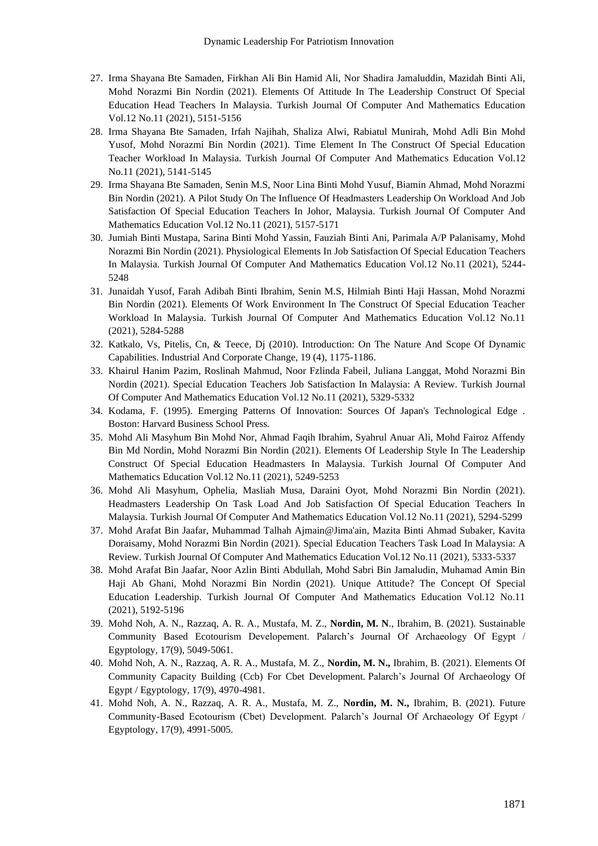- 27. Irma Shayana Bte Samaden, Firkhan Ali Bin Hamid Ali, Nor Shadira Jamaluddin, Mazidah Binti Ali, Mohd Norazmi Bin Nordin (2021). Elements Of Attitude In The Leadership Construct Of Special Education Head Teachers In Malaysia. Turkish Journal Of Computer And Mathematics Education Vol.12 No.11 (2021), 5151-5156
- 28. Irma Shayana Bte Samaden, Irfah Najihah, Shaliza Alwi, Rabiatul Munirah, Mohd Adli Bin Mohd Yusof, Mohd Norazmi Bin Nordin (2021). Time Element In The Construct Of Special Education Teacher Workload In Malaysia. Turkish Journal Of Computer And Mathematics Education Vol.12 No.11 (2021), 5141-5145
- 29. Irma Shayana Bte Samaden, Senin M.S, Noor Lina Binti Mohd Yusuf, Biamin Ahmad, Mohd Norazmi Bin Nordin (2021). A Pilot Study On The Influence Of Headmasters Leadership On Workload And Job Satisfaction Of Special Education Teachers In Johor, Malaysia. Turkish Journal Of Computer And Mathematics Education Vol.12 No.11 (2021), 5157-5171
- 30. Jumiah Binti Mustapa, Sarina Binti Mohd Yassin, Fauziah Binti Ani, Parimala A/P Palanisamy, Mohd Norazmi Bin Nordin (2021). Physiological Elements In Job Satisfaction Of Special Education Teachers In Malaysia. Turkish Journal Of Computer And Mathematics Education Vol.12 No.11 (2021), 5244- 5248
- 31. Junaidah Yusof, Farah Adibah Binti Ibrahim, Senin M.S, Hilmiah Binti Haji Hassan, Mohd Norazmi Bin Nordin (2021). Elements Of Work Environment In The Construct Of Special Education Teacher Workload In Malaysia. Turkish Journal Of Computer And Mathematics Education Vol.12 No.11 (2021), 5284-5288
- 32. Katkalo, Vs, Pitelis, Cn, & Teece, Dj (2010). Introduction: On The Nature And Scope Of Dynamic Capabilities. Industrial And Corporate Change, 19 (4), 1175-1186.
- 33. Khairul Hanim Pazim, Roslinah Mahmud, Noor Fzlinda Fabeil, Juliana Langgat, Mohd Norazmi Bin Nordin (2021). Special Education Teachers Job Satisfaction In Malaysia: A Review. Turkish Journal Of Computer And Mathematics Education Vol.12 No.11 (2021), 5329-5332
- 34. Kodama, F. (1995). Emerging Patterns Of Innovation: Sources Of Japan's Technological Edge . Boston: Harvard Business School Press.
- 35. Mohd Ali Masyhum Bin Mohd Nor, Ahmad Faqih Ibrahim, Syahrul Anuar Ali, Mohd Fairoz Affendy Bin Md Nordin, Mohd Norazmi Bin Nordin (2021). Elements Of Leadership Style In The Leadership Construct Of Special Education Headmasters In Malaysia. Turkish Journal Of Computer And Mathematics Education Vol.12 No.11 (2021), 5249-5253
- 36. Mohd Ali Masyhum, Ophelia, Masliah Musa, Daraini Oyot, Mohd Norazmi Bin Nordin (2021). Headmasters Leadership On Task Load And Job Satisfaction Of Special Education Teachers In Malaysia. Turkish Journal Of Computer And Mathematics Education Vol.12 No.11 (2021), 5294-5299
- 37. Mohd Arafat Bin Jaafar, Muhammad Talhah Ajmain@Jima'ain, Mazita Binti Ahmad Subaker, Kavita Doraisamy, Mohd Norazmi Bin Nordin (2021). Special Education Teachers Task Load In Malaysia: A Review. Turkish Journal Of Computer And Mathematics Education Vol.12 No.11 (2021), 5333-5337
- 38. Mohd Arafat Bin Jaafar, Noor Azlin Binti Abdullah, Mohd Sabri Bin Jamaludin, Muhamad Amin Bin Haji Ab Ghani, Mohd Norazmi Bin Nordin (2021). Unique Attitude? The Concept Of Special Education Leadership. Turkish Journal Of Computer And Mathematics Education Vol.12 No.11 (2021), 5192-5196
- 39. Mohd Noh, A. N., Razzaq, A. R. A., Mustafa, M. Z., **Nordin, M. N**., Ibrahim, B. (2021). Sustainable Community Based Ecotourism Developement. Palarch's Journal Of Archaeology Of Egypt / Egyptology, 17(9), 5049-5061.
- 40. Mohd Noh, A. N., Razzaq, A. R. A., Mustafa, M. Z., **Nordin, M. N.,** Ibrahim, B. (2021). Elements Of Community Capacity Building (Ccb) For Cbet Development. Palarch's Journal Of Archaeology Of Egypt / Egyptology, 17(9), 4970-4981.
- 41. Mohd Noh, A. N., Razzaq, A. R. A., Mustafa, M. Z., **Nordin, M. N.,** Ibrahim, B. (2021). Future Community-Based Ecotourism (Cbet) Development. Palarch's Journal Of Archaeology Of Egypt / Egyptology, 17(9), 4991-5005.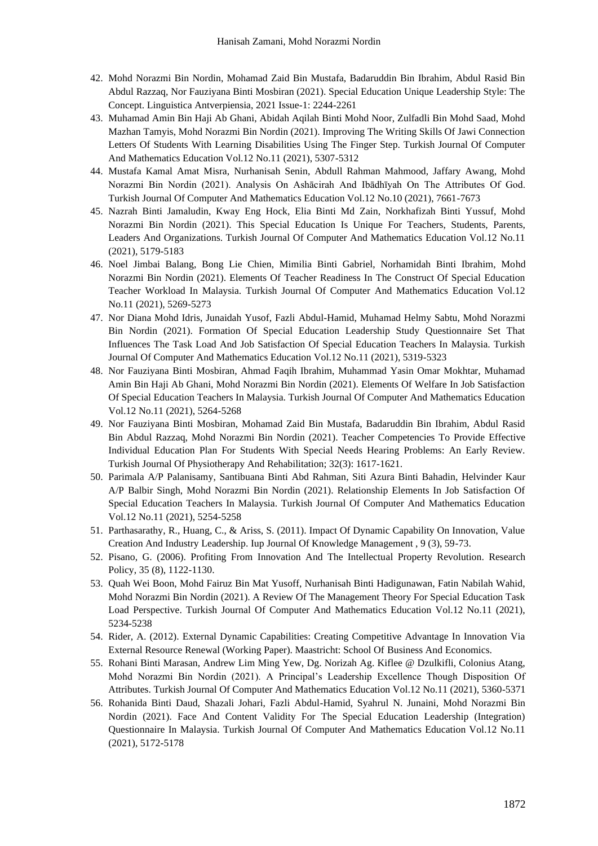- 42. Mohd Norazmi Bin Nordin, Mohamad Zaid Bin Mustafa, Badaruddin Bin Ibrahim, Abdul Rasid Bin Abdul Razzaq, Nor Fauziyana Binti Mosbiran (2021). Special Education Unique Leadership Style: The Concept. Linguistica Antverpiensia, 2021 Issue-1: 2244-2261
- 43. Muhamad Amin Bin Haji Ab Ghani, Abidah Aqilah Binti Mohd Noor, Zulfadli Bin Mohd Saad, Mohd Mazhan Tamyis, Mohd Norazmi Bin Nordin (2021). Improving The Writing Skills Of Jawi Connection Letters Of Students With Learning Disabilities Using The Finger Step. Turkish Journal Of Computer And Mathematics Education Vol.12 No.11 (2021), 5307-5312
- 44. Mustafa Kamal Amat Misra, Nurhanisah Senin, Abdull Rahman Mahmood, Jaffary Awang, Mohd Norazmi Bin Nordin (2021). Analysis On Ashācirah And Ibādhīyah On The Attributes Of God. Turkish Journal Of Computer And Mathematics Education Vol.12 No.10 (2021), 7661-7673
- 45. Nazrah Binti Jamaludin, Kway Eng Hock, Elia Binti Md Zain, Norkhafizah Binti Yussuf, Mohd Norazmi Bin Nordin (2021). This Special Education Is Unique For Teachers, Students, Parents, Leaders And Organizations. Turkish Journal Of Computer And Mathematics Education Vol.12 No.11 (2021), 5179-5183
- 46. Noel Jimbai Balang, Bong Lie Chien, Mimilia Binti Gabriel, Norhamidah Binti Ibrahim, Mohd Norazmi Bin Nordin (2021). Elements Of Teacher Readiness In The Construct Of Special Education Teacher Workload In Malaysia. Turkish Journal Of Computer And Mathematics Education Vol.12 No.11 (2021), 5269-5273
- 47. Nor Diana Mohd Idris, Junaidah Yusof, Fazli Abdul-Hamid, Muhamad Helmy Sabtu, Mohd Norazmi Bin Nordin (2021). Formation Of Special Education Leadership Study Questionnaire Set That Influences The Task Load And Job Satisfaction Of Special Education Teachers In Malaysia. Turkish Journal Of Computer And Mathematics Education Vol.12 No.11 (2021), 5319-5323
- 48. Nor Fauziyana Binti Mosbiran, Ahmad Faqih Ibrahim, Muhammad Yasin Omar Mokhtar, Muhamad Amin Bin Haji Ab Ghani, Mohd Norazmi Bin Nordin (2021). Elements Of Welfare In Job Satisfaction Of Special Education Teachers In Malaysia. Turkish Journal Of Computer And Mathematics Education Vol.12 No.11 (2021), 5264-5268
- 49. Nor Fauziyana Binti Mosbiran, Mohamad Zaid Bin Mustafa, Badaruddin Bin Ibrahim, Abdul Rasid Bin Abdul Razzaq, Mohd Norazmi Bin Nordin (2021). Teacher Competencies To Provide Effective Individual Education Plan For Students With Special Needs Hearing Problems: An Early Review. Turkish Journal Of Physiotherapy And Rehabilitation; 32(3): 1617-1621.
- 50. Parimala A/P Palanisamy, Santibuana Binti Abd Rahman, Siti Azura Binti Bahadin, Helvinder Kaur A/P Balbir Singh, Mohd Norazmi Bin Nordin (2021). Relationship Elements In Job Satisfaction Of Special Education Teachers In Malaysia. Turkish Journal Of Computer And Mathematics Education Vol.12 No.11 (2021), 5254-5258
- 51. Parthasarathy, R., Huang, C., & Ariss, S. (2011). Impact Of Dynamic Capability On Innovation, Value Creation And Industry Leadership. Iup Journal Of Knowledge Management , 9 (3), 59-73.
- 52. Pisano, G. (2006). Profiting From Innovation And The Intellectual Property Revolution. Research Policy, 35 (8), 1122-1130.
- 53. Quah Wei Boon, Mohd Fairuz Bin Mat Yusoff, Nurhanisah Binti Hadigunawan, Fatin Nabilah Wahid, Mohd Norazmi Bin Nordin (2021). A Review Of The Management Theory For Special Education Task Load Perspective. Turkish Journal Of Computer And Mathematics Education Vol.12 No.11 (2021), 5234-5238
- 54. Rider, A. (2012). External Dynamic Capabilities: Creating Competitive Advantage In Innovation Via External Resource Renewal (Working Paper). Maastricht: School Of Business And Economics.
- 55. Rohani Binti Marasan, Andrew Lim Ming Yew, Dg. Norizah Ag. Kiflee @ Dzulkifli, Colonius Atang, Mohd Norazmi Bin Nordin (2021). A Principal's Leadership Excellence Though Disposition Of Attributes. Turkish Journal Of Computer And Mathematics Education Vol.12 No.11 (2021), 5360-5371
- 56. Rohanida Binti Daud, Shazali Johari, Fazli Abdul-Hamid, Syahrul N. Junaini, Mohd Norazmi Bin Nordin (2021). Face And Content Validity For The Special Education Leadership (Integration) Questionnaire In Malaysia. Turkish Journal Of Computer And Mathematics Education Vol.12 No.11 (2021), 5172-5178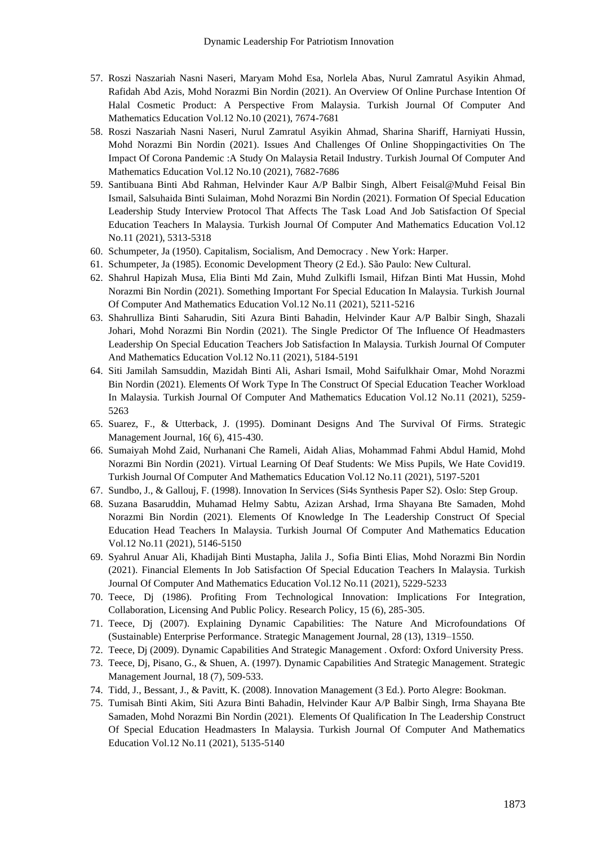- 57. Roszi Naszariah Nasni Naseri, Maryam Mohd Esa, Norlela Abas, Nurul Zamratul Asyikin Ahmad, Rafidah Abd Azis, Mohd Norazmi Bin Nordin (2021). An Overview Of Online Purchase Intention Of Halal Cosmetic Product: A Perspective From Malaysia. Turkish Journal Of Computer And Mathematics Education Vol.12 No.10 (2021), 7674-7681
- 58. Roszi Naszariah Nasni Naseri, Nurul Zamratul Asyikin Ahmad, Sharina Shariff, Harniyati Hussin, Mohd Norazmi Bin Nordin (2021). Issues And Challenges Of Online Shoppingactivities On The Impact Of Corona Pandemic :A Study On Malaysia Retail Industry. Turkish Journal Of Computer And Mathematics Education Vol.12 No.10 (2021), 7682-7686
- 59. Santibuana Binti Abd Rahman, Helvinder Kaur A/P Balbir Singh, Albert Feisal@Muhd Feisal Bin Ismail, Salsuhaida Binti Sulaiman, Mohd Norazmi Bin Nordin (2021). Formation Of Special Education Leadership Study Interview Protocol That Affects The Task Load And Job Satisfaction Of Special Education Teachers In Malaysia. Turkish Journal Of Computer And Mathematics Education Vol.12 No.11 (2021), 5313-5318
- 60. Schumpeter, Ja (1950). Capitalism, Socialism, And Democracy . New York: Harper.
- 61. Schumpeter, Ja (1985). Economic Development Theory (2 Ed.). São Paulo: New Cultural.
- 62. Shahrul Hapizah Musa, Elia Binti Md Zain, Muhd Zulkifli Ismail, Hifzan Binti Mat Hussin, Mohd Norazmi Bin Nordin (2021). Something Important For Special Education In Malaysia. Turkish Journal Of Computer And Mathematics Education Vol.12 No.11 (2021), 5211-5216
- 63. Shahrulliza Binti Saharudin, Siti Azura Binti Bahadin, Helvinder Kaur A/P Balbir Singh, Shazali Johari, Mohd Norazmi Bin Nordin (2021). The Single Predictor Of The Influence Of Headmasters Leadership On Special Education Teachers Job Satisfaction In Malaysia. Turkish Journal Of Computer And Mathematics Education Vol.12 No.11 (2021), 5184-5191
- 64. Siti Jamilah Samsuddin, Mazidah Binti Ali, Ashari Ismail, Mohd Saifulkhair Omar, Mohd Norazmi Bin Nordin (2021). Elements Of Work Type In The Construct Of Special Education Teacher Workload In Malaysia. Turkish Journal Of Computer And Mathematics Education Vol.12 No.11 (2021), 5259- 5263
- 65. Suarez, F., & Utterback, J. (1995). Dominant Designs And The Survival Of Firms. Strategic Management Journal, 16( 6), 415-430.
- 66. Sumaiyah Mohd Zaid, Nurhanani Che Rameli, Aidah Alias, Mohammad Fahmi Abdul Hamid, Mohd Norazmi Bin Nordin (2021). Virtual Learning Of Deaf Students: We Miss Pupils, We Hate Covid19. Turkish Journal Of Computer And Mathematics Education Vol.12 No.11 (2021), 5197-5201
- 67. Sundbo, J., & Gallouj, F. (1998). Innovation In Services (Si4s Synthesis Paper S2). Oslo: Step Group.
- 68. Suzana Basaruddin, Muhamad Helmy Sabtu, Azizan Arshad, Irma Shayana Bte Samaden, Mohd Norazmi Bin Nordin (2021). Elements Of Knowledge In The Leadership Construct Of Special Education Head Teachers In Malaysia. Turkish Journal Of Computer And Mathematics Education Vol.12 No.11 (2021), 5146-5150
- 69. Syahrul Anuar Ali, Khadijah Binti Mustapha, Jalila J., Sofia Binti Elias, Mohd Norazmi Bin Nordin (2021). Financial Elements In Job Satisfaction Of Special Education Teachers In Malaysia. Turkish Journal Of Computer And Mathematics Education Vol.12 No.11 (2021), 5229-5233
- 70. Teece, Dj (1986). Profiting From Technological Innovation: Implications For Integration, Collaboration, Licensing And Public Policy. Research Policy, 15 (6), 285-305.
- 71. Teece, Dj (2007). Explaining Dynamic Capabilities: The Nature And Microfoundations Of (Sustainable) Enterprise Performance. Strategic Management Journal, 28 (13), 1319–1550.
- 72. Teece, Dj (2009). Dynamic Capabilities And Strategic Management . Oxford: Oxford University Press.
- 73. Teece, Dj, Pisano, G., & Shuen, A. (1997). Dynamic Capabilities And Strategic Management. Strategic Management Journal, 18 (7), 509-533.
- 74. Tidd, J., Bessant, J., & Pavitt, K. (2008). Innovation Management (3 Ed.). Porto Alegre: Bookman.
- 75. Tumisah Binti Akim, Siti Azura Binti Bahadin, Helvinder Kaur A/P Balbir Singh, Irma Shayana Bte Samaden, Mohd Norazmi Bin Nordin (2021). Elements Of Qualification In The Leadership Construct Of Special Education Headmasters In Malaysia. Turkish Journal Of Computer And Mathematics Education Vol.12 No.11 (2021), 5135-5140